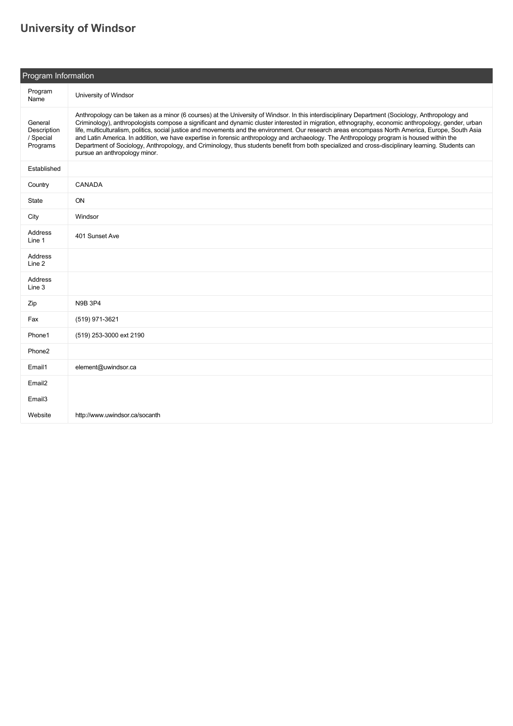## **[University of Windsor](https://guide.americananthro.org/597/University-of-Windsor)**

| Program Information                             |                                                                                                                                                                                                                                                                                                                                                                                                                                                                                                                                                                                                                                                                                                                                                                                                 |  |  |  |
|-------------------------------------------------|-------------------------------------------------------------------------------------------------------------------------------------------------------------------------------------------------------------------------------------------------------------------------------------------------------------------------------------------------------------------------------------------------------------------------------------------------------------------------------------------------------------------------------------------------------------------------------------------------------------------------------------------------------------------------------------------------------------------------------------------------------------------------------------------------|--|--|--|
| Program<br>Name                                 | University of Windsor                                                                                                                                                                                                                                                                                                                                                                                                                                                                                                                                                                                                                                                                                                                                                                           |  |  |  |
| General<br>Description<br>/ Special<br>Programs | Anthropology can be taken as a minor (6 courses) at the University of Windsor. In this interdisciplinary Department (Sociology, Anthropology and<br>Criminology), anthropologists compose a significant and dynamic cluster interested in migration, ethnography, economic anthropology, gender, urban<br>life, multiculturalism, politics, social justice and movements and the environment. Our research areas encompass North America, Europe, South Asia<br>and Latin America. In addition, we have expertise in forensic anthropology and archaeology. The Anthropology program is housed within the<br>Department of Sociology, Anthropology, and Criminology, thus students benefit from both specialized and cross-disciplinary learning. Students can<br>pursue an anthropology minor. |  |  |  |
| Established                                     |                                                                                                                                                                                                                                                                                                                                                                                                                                                                                                                                                                                                                                                                                                                                                                                                 |  |  |  |
| Country                                         | CANADA                                                                                                                                                                                                                                                                                                                                                                                                                                                                                                                                                                                                                                                                                                                                                                                          |  |  |  |
| State                                           | ON                                                                                                                                                                                                                                                                                                                                                                                                                                                                                                                                                                                                                                                                                                                                                                                              |  |  |  |
| City                                            | Windsor                                                                                                                                                                                                                                                                                                                                                                                                                                                                                                                                                                                                                                                                                                                                                                                         |  |  |  |
| Address<br>Line 1                               | 401 Sunset Ave                                                                                                                                                                                                                                                                                                                                                                                                                                                                                                                                                                                                                                                                                                                                                                                  |  |  |  |
| Address<br>Line 2                               |                                                                                                                                                                                                                                                                                                                                                                                                                                                                                                                                                                                                                                                                                                                                                                                                 |  |  |  |
| Address<br>Line 3                               |                                                                                                                                                                                                                                                                                                                                                                                                                                                                                                                                                                                                                                                                                                                                                                                                 |  |  |  |
| Zip                                             | <b>N9B 3P4</b>                                                                                                                                                                                                                                                                                                                                                                                                                                                                                                                                                                                                                                                                                                                                                                                  |  |  |  |
| Fax                                             | (519) 971-3621                                                                                                                                                                                                                                                                                                                                                                                                                                                                                                                                                                                                                                                                                                                                                                                  |  |  |  |
| Phone1                                          | (519) 253-3000 ext 2190                                                                                                                                                                                                                                                                                                                                                                                                                                                                                                                                                                                                                                                                                                                                                                         |  |  |  |
| Phone <sub>2</sub>                              |                                                                                                                                                                                                                                                                                                                                                                                                                                                                                                                                                                                                                                                                                                                                                                                                 |  |  |  |
| Email1                                          | element@uwindsor.ca                                                                                                                                                                                                                                                                                                                                                                                                                                                                                                                                                                                                                                                                                                                                                                             |  |  |  |
| Email <sub>2</sub>                              |                                                                                                                                                                                                                                                                                                                                                                                                                                                                                                                                                                                                                                                                                                                                                                                                 |  |  |  |
| Email <sub>3</sub>                              |                                                                                                                                                                                                                                                                                                                                                                                                                                                                                                                                                                                                                                                                                                                                                                                                 |  |  |  |
| Website                                         | http://www.uwindsor.ca/socanth                                                                                                                                                                                                                                                                                                                                                                                                                                                                                                                                                                                                                                                                                                                                                                  |  |  |  |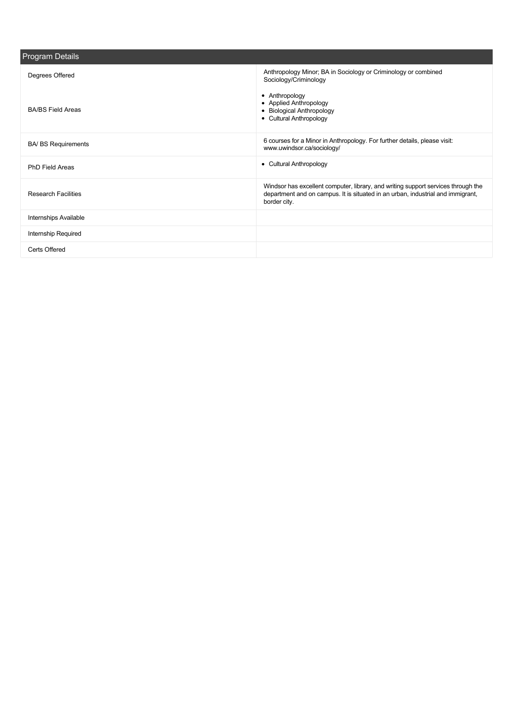| Anthropology Minor; BA in Sociology or Criminology or combined<br>Degrees Offered<br>Sociology/Criminology<br>• Anthropology<br>• Applied Anthropology<br><b>BA/BS Field Areas</b><br>• Biological Anthropology<br>• Cultural Anthropology<br>6 courses for a Minor in Anthropology. For further details, please visit:<br><b>BA/ BS Requirements</b><br>www.uwindsor.ca/sociology/<br><b>Cultural Anthropology</b><br>٠<br><b>PhD Field Areas</b><br>Windsor has excellent computer, library, and writing support services through the<br>department and on campus. It is situated in an urban, industrial and immigrant,<br><b>Research Facilities</b><br>border city.<br><b>Internships Available</b><br>Internship Required<br>Certs Offered | Program Details |  |  |  |  |
|--------------------------------------------------------------------------------------------------------------------------------------------------------------------------------------------------------------------------------------------------------------------------------------------------------------------------------------------------------------------------------------------------------------------------------------------------------------------------------------------------------------------------------------------------------------------------------------------------------------------------------------------------------------------------------------------------------------------------------------------------|-----------------|--|--|--|--|
|                                                                                                                                                                                                                                                                                                                                                                                                                                                                                                                                                                                                                                                                                                                                                  |                 |  |  |  |  |
|                                                                                                                                                                                                                                                                                                                                                                                                                                                                                                                                                                                                                                                                                                                                                  |                 |  |  |  |  |
|                                                                                                                                                                                                                                                                                                                                                                                                                                                                                                                                                                                                                                                                                                                                                  |                 |  |  |  |  |
|                                                                                                                                                                                                                                                                                                                                                                                                                                                                                                                                                                                                                                                                                                                                                  |                 |  |  |  |  |
|                                                                                                                                                                                                                                                                                                                                                                                                                                                                                                                                                                                                                                                                                                                                                  |                 |  |  |  |  |
|                                                                                                                                                                                                                                                                                                                                                                                                                                                                                                                                                                                                                                                                                                                                                  |                 |  |  |  |  |
|                                                                                                                                                                                                                                                                                                                                                                                                                                                                                                                                                                                                                                                                                                                                                  |                 |  |  |  |  |
|                                                                                                                                                                                                                                                                                                                                                                                                                                                                                                                                                                                                                                                                                                                                                  |                 |  |  |  |  |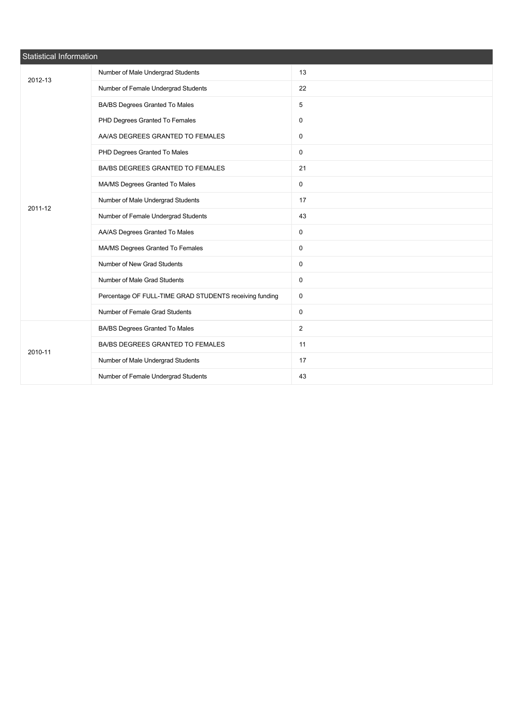| Statistical Information |                                                         |                |  |  |  |
|-------------------------|---------------------------------------------------------|----------------|--|--|--|
| 2012-13                 | Number of Male Undergrad Students                       | 13             |  |  |  |
|                         | Number of Female Undergrad Students                     | 22             |  |  |  |
|                         | BA/BS Degrees Granted To Males                          | 5              |  |  |  |
|                         | PHD Degrees Granted To Females                          | $\mathbf 0$    |  |  |  |
|                         | AA/AS DEGREES GRANTED TO FEMALES                        | 0              |  |  |  |
|                         | PHD Degrees Granted To Males                            | $\mathsf 0$    |  |  |  |
|                         | BA/BS DEGREES GRANTED TO FEMALES                        | 21             |  |  |  |
|                         | MA/MS Degrees Granted To Males                          | 0              |  |  |  |
| 2011-12                 | Number of Male Undergrad Students                       | 17             |  |  |  |
|                         | Number of Female Undergrad Students                     | 43             |  |  |  |
|                         | AA/AS Degrees Granted To Males                          | $\mathsf{O}$   |  |  |  |
|                         | MA/MS Degrees Granted To Females                        | 0              |  |  |  |
|                         | Number of New Grad Students                             | $\mathbf 0$    |  |  |  |
|                         | Number of Male Grad Students                            | $\mathsf 0$    |  |  |  |
|                         | Percentage OF FULL-TIME GRAD STUDENTS receiving funding | 0              |  |  |  |
|                         | Number of Female Grad Students                          | $\mathsf 0$    |  |  |  |
|                         | BA/BS Degrees Granted To Males                          | $\overline{2}$ |  |  |  |
| 2010-11                 | BA/BS DEGREES GRANTED TO FEMALES                        | 11             |  |  |  |
|                         | Number of Male Undergrad Students                       | 17             |  |  |  |
|                         | Number of Female Undergrad Students                     | 43             |  |  |  |